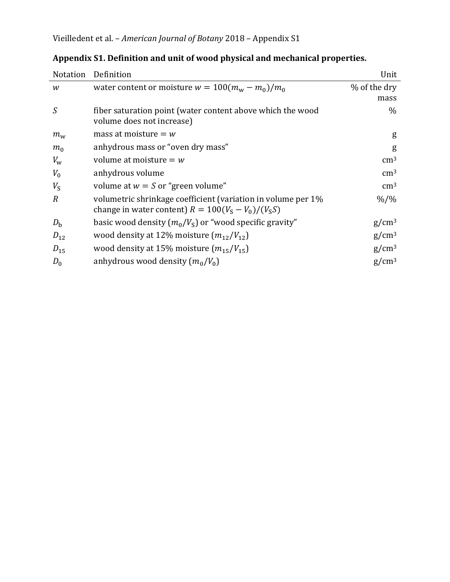| <b>Notation</b> | Definition                                                                                                        | Unit              |
|-----------------|-------------------------------------------------------------------------------------------------------------------|-------------------|
| W               | water content or moisture $w = 100(m_w - m_0)/m_0$                                                                | % of the dry      |
|                 |                                                                                                                   | mass              |
| S               | fiber saturation point (water content above which the wood<br>volume does not increase)                           | $\%$              |
| $m_{\rm w}$     | mass at moisture $= w$                                                                                            | g                 |
| m <sub>0</sub>  | anhydrous mass or "oven dry mass"                                                                                 | g                 |
| $V_{\rm w}$     | volume at moisture $= w$                                                                                          | $\rm cm^3$        |
| $V_0$           | anhydrous volume                                                                                                  | $\rm cm^3$        |
| $V_{\rm S}$     | volume at $w = S$ or "green volume"                                                                               | $\rm cm^3$        |
| $\overline{R}$  | volumetric shrinkage coefficient (variation in volume per 1%<br>change in water content) $R = 100(VS - V0)/(VSS)$ | $\frac{9}{6}$ /%  |
| $D_{\rm b}$     | basic wood density $(m_0/V_s)$ or "wood specific gravity"                                                         | $g/cm^3$          |
| $D_{12}$        | wood density at 12% moisture $(m_{12}/V_{12})$                                                                    | $g/cm^3$          |
| $D_{15}$        | wood density at 15% moisture $(m_{15}/V_{15})$                                                                    | $g/cm^3$          |
| $D_0$           | anhydrous wood density $(m_0/V_0)$                                                                                | g/cm <sup>3</sup> |

|  | Appendix S1. Definition and unit of wood physical and mechanical properties. |  |  |  |
|--|------------------------------------------------------------------------------|--|--|--|
|  |                                                                              |  |  |  |
|  |                                                                              |  |  |  |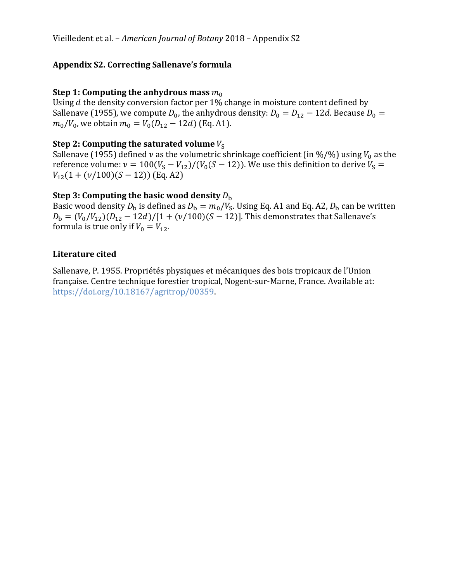# **Appendix S2. Correcting Sallenave's formula**

## **Step 1: Computing the anhydrous mass**  $m_0$

Using  $d$  the density conversion factor per 1% change in moisture content defined by Sallenave (1955), we compute  $D_0$ , the anhydrous density:  $D_0 = D_{12} - 12d$ . Because  $D_0 =$  $m_0/V_0$ , we obtain  $m_0 = V_0(D_{12} - 12d)$  (Eq. A1).

## **Step 2: Computing the saturated volume**  $V_s$

Sallenave (1955) defined  $\nu$  as the volumetric shrinkage coefficient (in %/%) using  $V_0$  as the reference volume:  $v = 100(V<sub>S</sub> - V<sub>12</sub>)/(V<sub>0</sub>(S - 12))$ . We use this definition to derive  $V<sub>S</sub> =$  $V_{12}(1 + (\nu/100)(S - 12))$  (Eq. A2)

### **Step 3: Computing the basic wood density** <sup>b</sup>

Basic wood density  $D_b$  is defined as  $D_b = m_0/V_s$ . Using Eq. A1 and Eq. A2,  $D_b$  can be written  $D_{\rm b} = (V_0/V_{12})(D_{12} - 12d)/[1 + (\nu/100)(S - 12)]$ . This demonstrates that Sallenave's formula is true only if  $V_0 = V_{12}$ .

### **Literature cited**

Sallenave, P. 1955. Propriétés physiques et mécaniques des bois tropicaux de l'Union française. Centre technique forestier tropical, Nogent-sur-Marne, France. Available at: https://doi.org/10.18167/agritrop/00359.